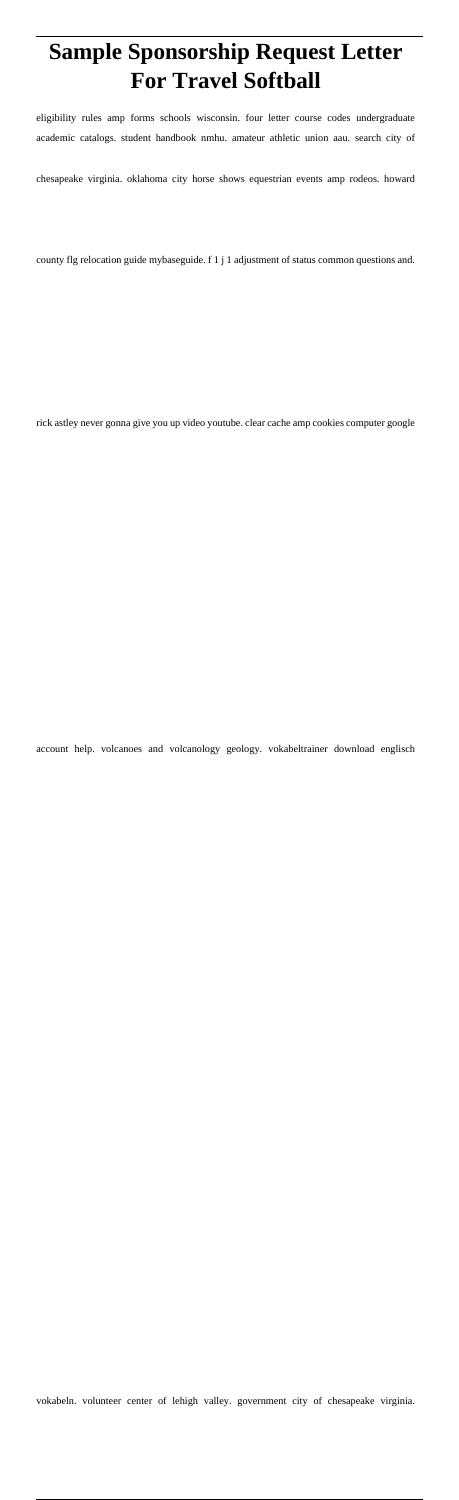## **Sample Sponsorship Request Letter For Travel Softball**

eligibility rules amp forms schools wisconsin. four letter course codes undergraduate academic catalogs. student handbook nmhu. amateur athletic union aau. search city of

chesapeake virginia. oklahoma city horse shows equestrian events amp rodeos. howard

county flg relocation guide mybaseguide. f 1 j 1 adjustment of status common questions and.

rick astley never gonna give you up video youtube. clear cache amp cookies computer google

account help. volcanoes and volcanology geology. vokabeltrainer download englisch

vokabeln. volunteer center of lehigh valley. government city of chesapeake virginia.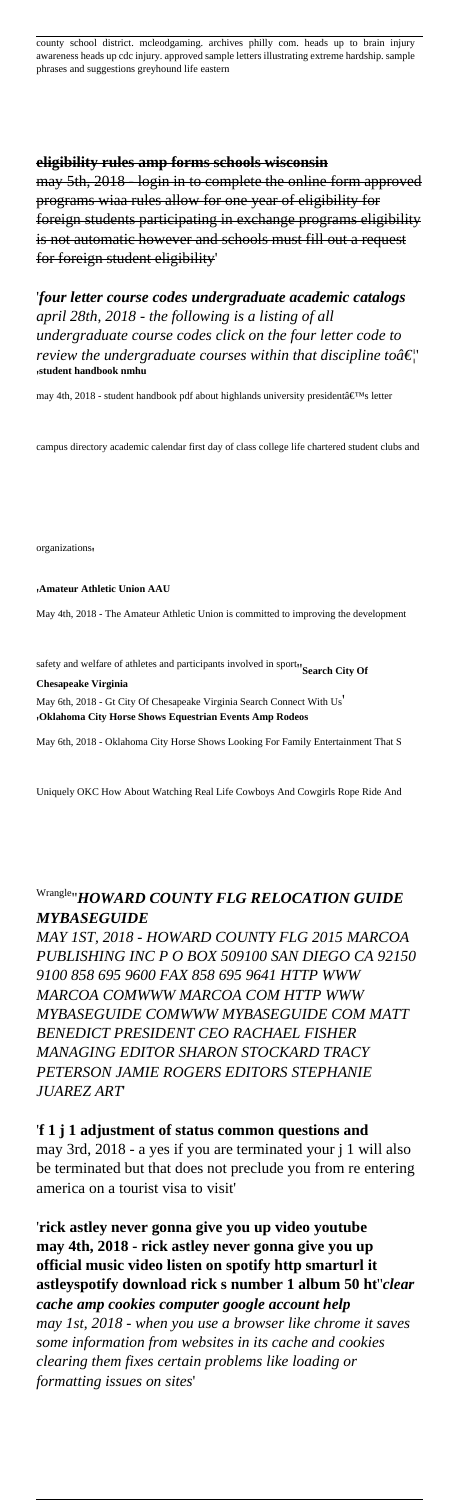county school district. mcleodgaming. archives philly com. heads up to brain injury awareness heads up cdc injury. approved sample letters illustrating extreme hardship. sample phrases and suggestions greyhound life eastern

#### **eligibility rules amp forms schools wisconsin**

may 5th, 2018 - login in to complete the online form approved programs wiaa rules allow for one year of eligibility for foreign students participating in exchange programs eligibility is not automatic however and schools must fill out a request for foreign student eligibility'

'*four letter course codes undergraduate academic catalogs april 28th, 2018 - the following is a listing of all undergraduate course codes click on the four letter code to review the undergraduate courses within that discipline to*  $\hat{a} \in \hat{C}$ '**student handbook nmhu**

may 4th, 2018 - student handbook pdf about highlands university president's letter

campus directory academic calendar first day of class college life chartered student clubs and

organizations'

#### '**Amateur Athletic Union AAU**

May 4th, 2018 - The Amateur Athletic Union is committed to improving the development

safety and welfare of athletes and participants involved in sport<sub>"</sub>Search City Of

**Chesapeake Virginia**

May 6th, 2018 - Gt City Of Chesapeake Virginia Search Connect With Us' '**Oklahoma City Horse Shows Equestrian Events Amp Rodeos**

May 6th, 2018 - Oklahoma City Horse Shows Looking For Family Entertainment That S

Uniquely OKC How About Watching Real Life Cowboys And Cowgirls Rope Ride And

### Wrangle''*HOWARD COUNTY FLG RELOCATION GUIDE MYBASEGUIDE*

*MAY 1ST, 2018 - HOWARD COUNTY FLG 2015 MARCOA PUBLISHING INC P O BOX 509100 SAN DIEGO CA 92150 9100 858 695 9600 FAX 858 695 9641 HTTP WWW MARCOA COMWWW MARCOA COM HTTP WWW MYBASEGUIDE COMWWW MYBASEGUIDE COM MATT BENEDICT PRESIDENT CEO RACHAEL FISHER MANAGING EDITOR SHARON STOCKARD TRACY PETERSON JAMIE ROGERS EDITORS STEPHANIE JUAREZ ART*'

'**f 1 j 1 adjustment of status common questions and** may 3rd, 2018 - a yes if you are terminated your j 1 will also

be terminated but that does not preclude you from re entering america on a tourist visa to visit'

'**rick astley never gonna give you up video youtube may 4th, 2018 - rick astley never gonna give you up official music video listen on spotify http smarturl it astleyspotify download rick s number 1 album 50 ht**''*clear cache amp cookies computer google account help may 1st, 2018 - when you use a browser like chrome it saves some information from websites in its cache and cookies clearing them fixes certain problems like loading or formatting issues on sites*'